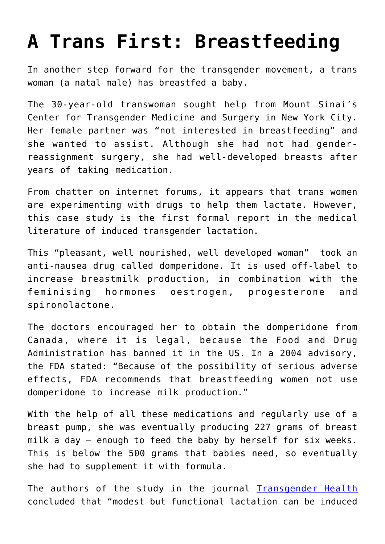## **[A Trans First: Breastfeeding](https://intellectualtakeout.org/2018/02/a-trans-first-breastfeeding/)**

In another step forward for the transgender movement, a trans woman (a natal male) has breastfed a baby.

The 30-year-old transwoman sought help from Mount Sinai's Center for Transgender Medicine and Surgery in New York City. Her female partner was "not interested in breastfeeding" and she wanted to assist. Although she had not had genderreassignment surgery, she had well-developed breasts after years of taking medication.

From chatter on internet forums, it appears that trans women are experimenting with drugs to help them lactate. However, this case study is the first formal report in the medical literature of induced transgender lactation.

This "pleasant, well nourished, well developed woman" took an anti-nausea drug called domperidone. It is used off-label to increase breastmilk production, in combination with the feminising hormones oestrogen, progesterone and spironolactone.

The doctors encouraged her to obtain the domperidone from Canada, where it is legal, because the Food and Drug Administration has banned it in the US. In a 2004 advisory, the FDA stated: "Because of the possibility of serious adverse effects, FDA recommends that breastfeeding women not use domperidone to increase milk production."

With the help of all these medications and regularly use of a breast pump, she was eventually producing 227 grams of breast milk a day – enough to feed the baby by herself for six weeks. This is below the 500 grams that babies need, so eventually she had to supplement it with formula.

The authors of the study in the journal **[Transgender Health](http://online.liebertpub.com/doi/10.1089/trgh.2017.0044)** concluded that "modest but functional lactation can be induced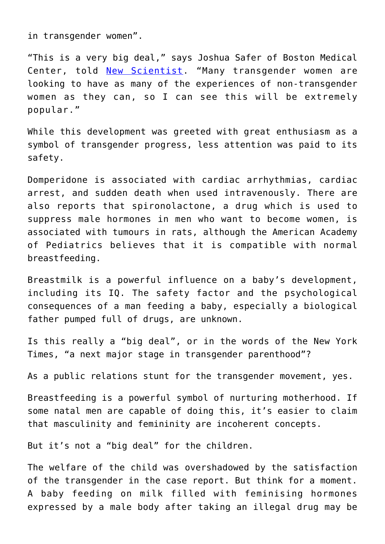in transgender women".

"This is a very big deal," says Joshua Safer of Boston Medical Center, told [New Scientist](https://www.newscientist.com/article/2161151-transgender-woman-is-first-to-be-able-to-breastfeed-her-baby/). "Many transgender women are looking to have as many of the experiences of non-transgender women as they can, so I can see this will be extremely popular."

While this development was greeted with great enthusiasm as a symbol of transgender progress, less attention was paid to its safety.

Domperidone is associated with cardiac arrhythmias, cardiac arrest, and sudden death when used intravenously. There are also reports that spironolactone, a drug which is used to suppress male hormones in men who want to become women, is associated with tumours in rats, although the American Academy of Pediatrics believes that it is compatible with normal breastfeeding.

Breastmilk is a powerful influence on a baby's development, including its IQ. The safety factor and the psychological consequences of a man feeding a baby, especially a biological father pumped full of drugs, are unknown.

Is this really a "big deal", or in the words of the New York Times, "a next major stage in transgender parenthood"?

As a public relations stunt for the transgender movement, yes.

Breastfeeding is a powerful symbol of nurturing motherhood. If some natal men are capable of doing this, it's easier to claim that masculinity and femininity are incoherent concepts.

But it's not a "big deal" for the children.

The welfare of the child was overshadowed by the satisfaction of the transgender in the case report. But think for a moment. A baby feeding on milk filled with feminising hormones expressed by a male body after taking an illegal drug may be